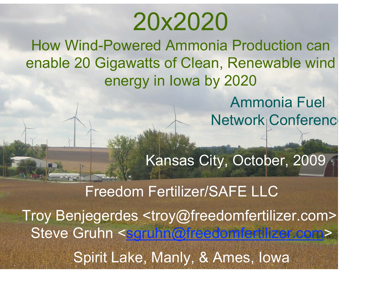# 20x2020

How Wind-Powered Ammonia Production can enable 20 Gigawatts of Clean, Renewable wind energy in Iowa by 2020

> Ammonia Fuel Network Conferenc

Kansas City, October, 2009

Freedom Fertilizer/SAFE LLC Troy Benjegerdes <troy@freedomfertilizer.com>, Steve Gruhn <sgruhn@freedomfertilizer.com> Spirit Lake, Manly, & Ames, Iowa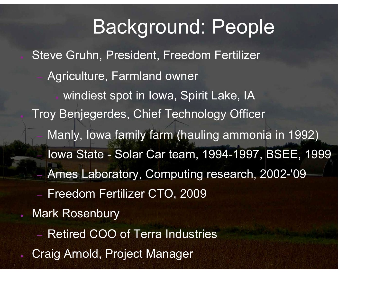#### Background: People

Steve Gruhn, President, Freedom Fertilizer

– Agriculture, Farmland owner

windiest spot in Iowa, Spirit Lake, IA Troy Benjegerdes, Chief Technology Officer Manly, Iowa family farm (hauling ammonia in 1992) – Iowa State - Solar Car team, 1994-1997, BSEE, 1999

– Ames Laboratory, Computing research, 2002-'09

 $\sim$  CeO  $\sim$  CeO  $\sim$  CeO  $\sim$  CeO  $\sim$  CeO  $\sim$  CeO  $\sim$  CeO  $\sim$  CeO  $\sim$  CeO  $\sim$  CeO  $\sim$  CeO  $\sim$  CeO  $\sim$  CeO  $\sim$ 

- Freedom Fertilizer CTO, 2009
- **Mark Rosenbury** 
	- Retired COO of Terra Industries
- Craig Arnold, Project Manager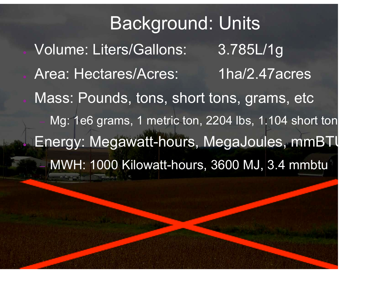Background: Units Volume: Liters/Gallons: 3.785L/1g Area: Hectares/Acres: 1ha/2.47acres Mass: Pounds, tons, short tons, grams, etc Mg: 1e6 grams, 1 metric ton, 2204 lbs, 1.104 short ton Energy: Megawatt-hours, MegaJoules, mmBTU – MWH: 1000 Kilowatt-hours, 3600 MJ, 3.4 mmbtu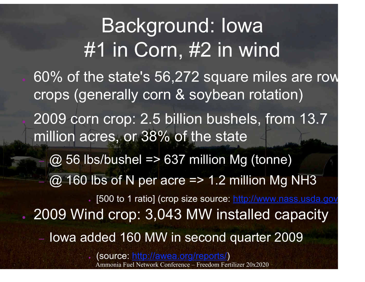Background: Iowa #1 in Corn, #2 in wind 60% of the state's 56,272 square miles are row crops (generally corn & soybean rotation) 2009 corn crop: 2.5 billion bushels, from 13.7 million acres, or 38% of the state  $(2, 56$  lbs/bushel => 637 million Mg (tonne)  $\omega$  160 lbs of N per acre => 1.2 million Mg NH3 [500 to 1 ratio] (crop size source: http://www.nass.usda.gov . 2009 Wind crop: 3,043 MW installed capacity – Iowa added 160 MW in second quarter 2009 ● (source: http://awea.org/reports/)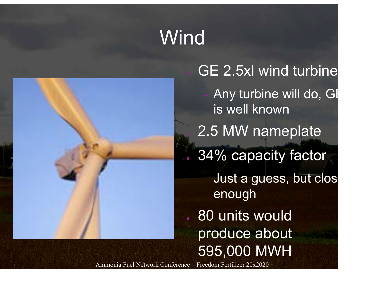# Wind



GE 2.5xl wind turbine Any turbine will do, GI is well known 2.5 MW nameplate . 34% capacity factor Just a guess, but clos enough . 80 units would produce about 595,000 MWH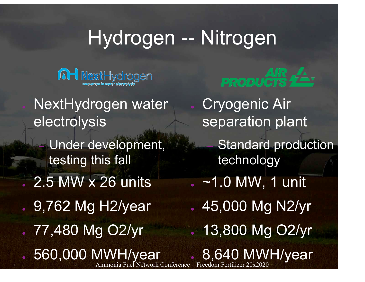### Hydrogen -- Nitrogen



- NextHydrogen water electrolysis
	- Under development, testing this fall
- 2.5 MW x 26 units
- 9,762 Mg H2/year
- 77,480 Mg O2/yr

560,000 MWH/year



- Cryogenic Air separation plant
	- **Standard production** technology
- $\sim$  ~1.0 MW, 1 unit
- $-45,000$  Mg N2/yr ● 13,800 Mg O2/yr
- Jetwork Conference Freedom Fertilizer 8,640 MWH/year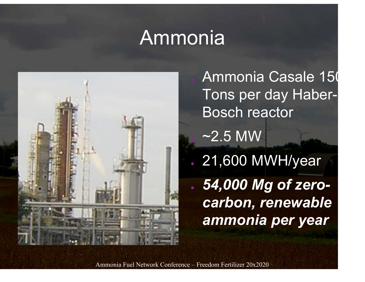#### **Ammonia**



Ammonia Casale 150 Tons per day Haber-Bosch reactor  $\sim$ 2.5 MW . 21,600 MWH/year ● *54,000 Mg of zerocarbon, renewable ammonia per year*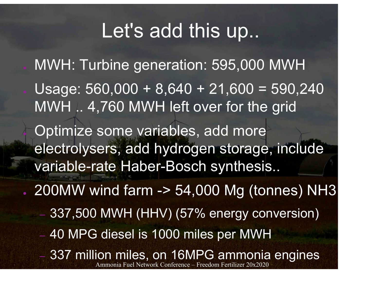#### Let's add this up...

- MWH: Turbine generation: 595,000 MWH Usage:  $560,000 + 8,640 + 21,600 = 590,240$ MWH .. 4,760 MWH left over for the grid Optimize some variables, add more electrolysers, add hydrogen storage, include variable-rate Haber-Bosch synthesis..
- $\sim$  200MW wind farm -> 54,000 Mg (tonnes) NH3
	- 337,500 MWH (HHV) (57% energy conversion)
	- 40 MPG diesel is 1000 miles per MWH
	- Ammonia Fuel Network Conference Freedom Fertilizer 20x2020 – 337 million miles, on 16MPG ammonia engines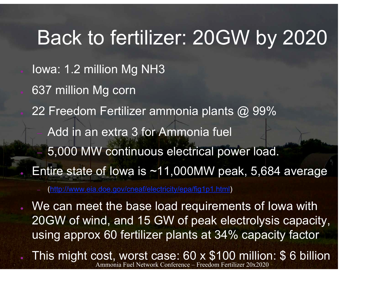### Back to fertilizer: 20GW by 2020

- Iowa: 1.2 million Mg NH3
- 637 million Mg corn
- 22 Freedom Fertilizer ammonia plants  $\omega$  99%
	- Add in an extra 3 for Ammonia fuel
	- 5,000 MW continuous electrical power load.
- Entire state of Iowa is  $~11,000$ MW peak, 5,684 average

– (http://www.eia.doe.gov/cneaf/electricity/epa/fig1p1.html)

We can meet the base load requirements of lowa with 20GW of wind, and 15 GW of peak electrolysis capacity, using approx 60 fertilizer plants at 34% capacity factor

Ammonia Fuel Network Conference – Freedom Fertilizer 20x2020 This might cost, worst case: 60 x \$100 million: \$ 6 billion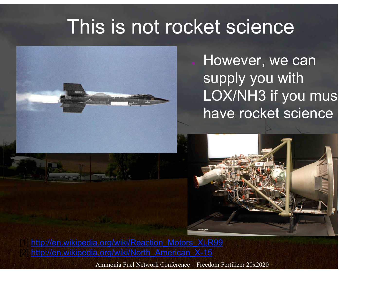#### This is not rocket science



However, we can supply you with LOX/NH3 if you must have rocket science



http://en.wikipedia.org/wiki/Reaction\_Motors\_XLR99 http://en.wikipedia.org/wiki/North\_American\_X-15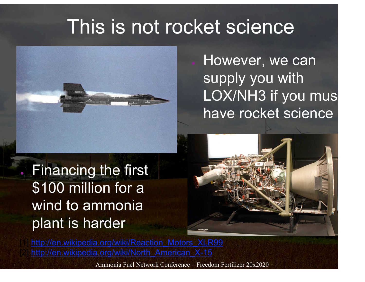#### This is not rocket science



However, we can supply you with LOX/NH3 if you must have rocket science

● Financing the first \$100 million for a wind to ammonia plant is harder



http://en.wikipedia.org/wiki/Reaction\_Motors\_XLR99 http://en.wikipedia.org/wiki/North\_American\_X-15